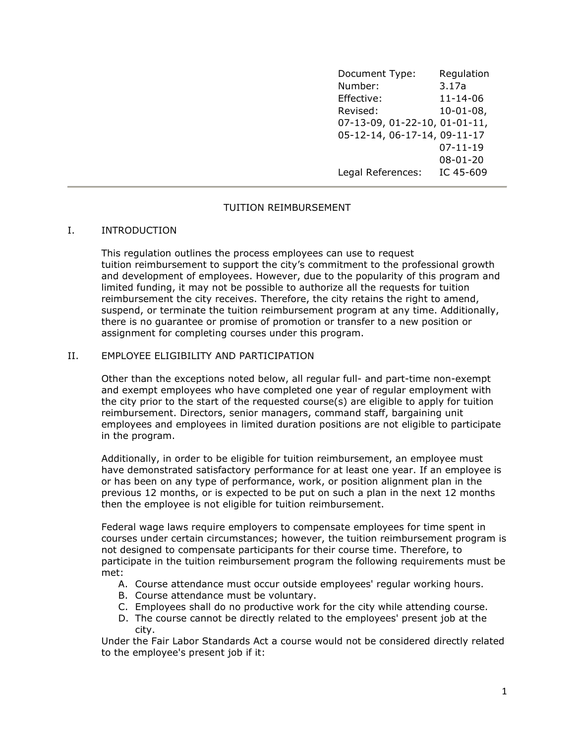Document Type: Regulation Number: 3.17a Effective: 11-14-06 Revised: 10-01-08, 07-13-09, 01-22-10, 01-01-11, 05-12-14, 06-17-14, 09-11-17 07-11-19 08-01-20 Legal References: IC 45-609

### TUITION REIMBURSEMENT

### I. INTRODUCTION

This regulation outlines the process employees can use to request tuition reimbursement to support the city's commitment to the professional growth and development of employees. However, due to the popularity of this program and limited funding, it may not be possible to authorize all the requests for tuition reimbursement the city receives. Therefore, the city retains the right to amend, suspend, or terminate the tuition reimbursement program at any time. Additionally, there is no guarantee or promise of promotion or transfer to a new position or assignment for completing courses under this program.

# II. EMPLOYEE ELIGIBILITY AND PARTICIPATION

Other than the exceptions noted below, all regular full- and part-time non-exempt and exempt employees who have completed one year of regular employment with the city prior to the start of the requested course(s) are eligible to apply for tuition reimbursement. Directors, senior managers, command staff, bargaining unit employees and employees in limited duration positions are not eligible to participate in the program.

Additionally, in order to be eligible for tuition reimbursement, an employee must have demonstrated satisfactory performance for at least one year. If an employee is or has been on any type of performance, work, or position alignment plan in the previous 12 months, or is expected to be put on such a plan in the next 12 months then the employee is not eligible for tuition reimbursement.

Federal wage laws require employers to compensate employees for time spent in courses under certain circumstances; however, the tuition reimbursement program is not designed to compensate participants for their course time. Therefore, to participate in the tuition reimbursement program the following requirements must be met:

- A. Course attendance must occur outside employees' regular working hours.
- B. Course attendance must be voluntary.
- C. Employees shall do no productive work for the city while attending course.
- D. The course cannot be directly related to the employees' present job at the city.

Under the Fair Labor Standards Act a course would not be considered directly related to the employee's present job if it: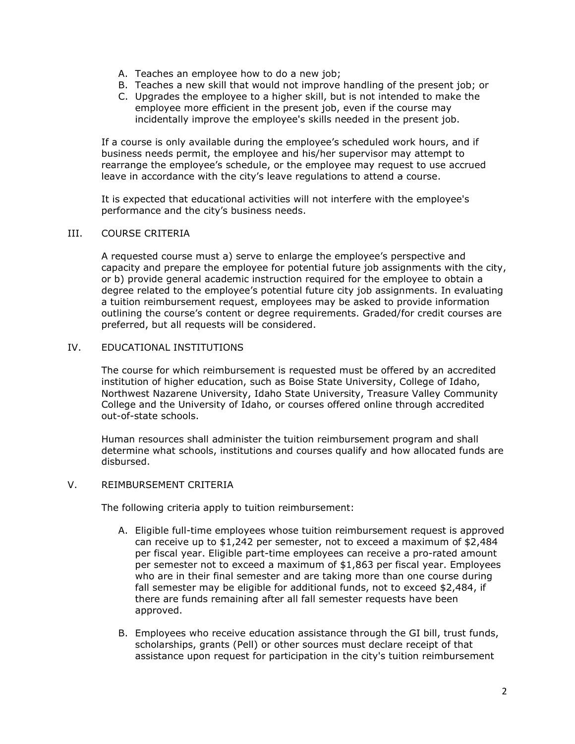- A. Teaches an employee how to do a new job;
- B. Teaches a new skill that would not improve handling of the present job; or
- C. Upgrades the employee to a higher skill, but is not intended to make the employee more efficient in the present job, even if the course may incidentally improve the employee's skills needed in the present job.

If a course is only available during the employee's scheduled work hours, and if business needs permit, the employee and his/her supervisor may attempt to rearrange the employee's schedule, or the employee may request to use accrued leave in accordance with the city's leave regulations to attend a course.

It is expected that educational activities will not interfere with the employee's performance and the city's business needs.

### III. COURSE CRITERIA

A requested course must a) serve to enlarge the employee's perspective and capacity and prepare the employee for potential future job assignments with the city, or b) provide general academic instruction required for the employee to obtain a degree related to the employee's potential future city job assignments. In evaluating a tuition reimbursement request, employees may be asked to provide information outlining the course's content or degree requirements. Graded/for credit courses are preferred, but all requests will be considered.

# IV. EDUCATIONAL INSTITUTIONS

The course for which reimbursement is requested must be offered by an accredited institution of higher education, such as Boise State University, College of Idaho, Northwest Nazarene University, Idaho State University, Treasure Valley Community College and the University of Idaho, or courses offered online through accredited out-of-state schools.

Human resources shall administer the tuition reimbursement program and shall determine what schools, institutions and courses qualify and how allocated funds are disbursed.

#### V. REIMBURSEMENT CRITERIA

The following criteria apply to tuition reimbursement:

- A. Eligible full-time employees whose tuition reimbursement request is approved can receive up to \$1,242 per semester, not to exceed a maximum of \$2,484 per fiscal year. Eligible part-time employees can receive a pro-rated amount per semester not to exceed a maximum of \$1,863 per fiscal year. Employees who are in their final semester and are taking more than one course during fall semester may be eligible for additional funds, not to exceed \$2,484, if there are funds remaining after all fall semester requests have been approved.
- B. Employees who receive education assistance through the GI bill, trust funds, scholarships, grants (Pell) or other sources must declare receipt of that assistance upon request for participation in the city's tuition reimbursement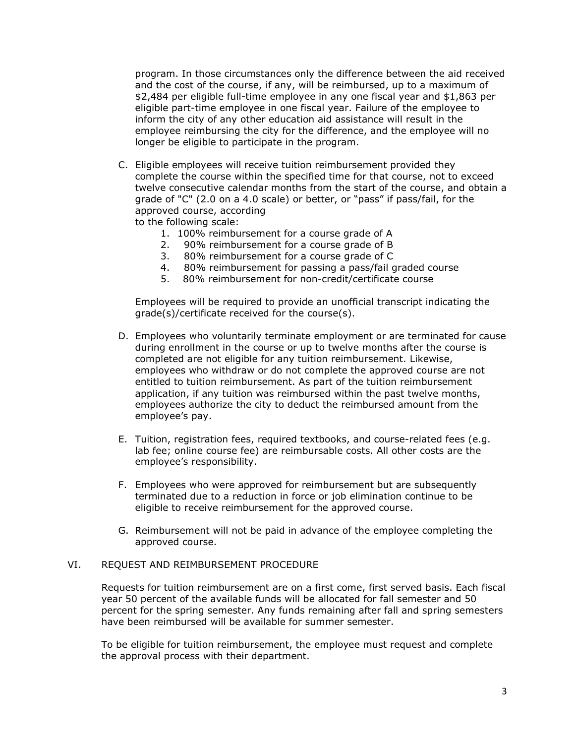program. In those circumstances only the difference between the aid received and the cost of the course, if any, will be reimbursed, up to a maximum of \$2,484 per eligible full-time employee in any one fiscal year and \$1,863 per eligible part-time employee in one fiscal year. Failure of the employee to inform the city of any other education aid assistance will result in the employee reimbursing the city for the difference, and the employee will no longer be eligible to participate in the program.

C. Eligible employees will receive tuition reimbursement provided they complete the course within the specified time for that course, not to exceed twelve consecutive calendar months from the start of the course, and obtain a grade of "C" (2.0 on a 4.0 scale) or better, or "pass" if pass/fail, for the approved course, according

to the following scale:

- 1. 100% reimbursement for a course grade of A
- 2. 90% reimbursement for a course grade of B
- 3. 80% reimbursement for a course grade of C
- 4. 80% reimbursement for passing a pass/fail graded course
- 5. 80% reimbursement for non-credit/certificate course

Employees will be required to provide an unofficial transcript indicating the grade(s)/certificate received for the course(s).

- D. Employees who voluntarily terminate employment or are terminated for cause during enrollment in the course or up to twelve months after the course is completed are not eligible for any tuition reimbursement. Likewise, employees who withdraw or do not complete the approved course are not entitled to tuition reimbursement. As part of the tuition reimbursement application, if any tuition was reimbursed within the past twelve months, employees authorize the city to deduct the reimbursed amount from the employee's pay.
- E. Tuition, registration fees, required textbooks, and course-related fees (e.g. lab fee; online course fee) are reimbursable costs. All other costs are the employee's responsibility.
- F. Employees who were approved for reimbursement but are subsequently terminated due to a reduction in force or job elimination continue to be eligible to receive reimbursement for the approved course.
- G. Reimbursement will not be paid in advance of the employee completing the approved course.

#### VI. REQUEST AND REIMBURSEMENT PROCEDURE

Requests for tuition reimbursement are on a first come, first served basis. Each fiscal year 50 percent of the available funds will be allocated for fall semester and 50 percent for the spring semester. Any funds remaining after fall and spring semesters have been reimbursed will be available for summer semester.

To be eligible for tuition reimbursement, the employee must request and complete the approval process with their department.